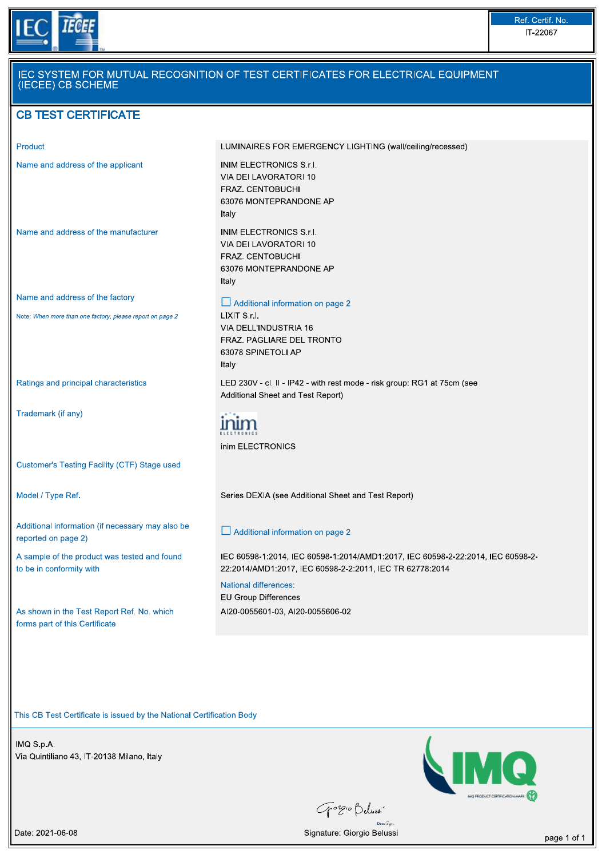

| Product                                                                                      | LUMINAIRES FOR EMERGENCY LIGHTING (wall/ceiling/recessed)                                                                                    |  |  |  |
|----------------------------------------------------------------------------------------------|----------------------------------------------------------------------------------------------------------------------------------------------|--|--|--|
| Name and address of the applicant                                                            | INIM ELECTRONICS S.r.I.<br>VIA DEI LAVORATORI 10<br>FRAZ. CENTOBUCHI<br>63076 MONTEPRANDONE AP<br>Italy                                      |  |  |  |
| Name and address of the manufacturer                                                         | <b>INIM ELECTRONICS S.r.I.</b><br>VIA DEI LAVORATORI 10<br>FRAZ. CENTOBUCHI<br>63076 MONTEPRANDONE AP<br>Italy                               |  |  |  |
| Name and address of the factory<br>Note: When more than one factory, please report on page 2 | $\Box$ Additional information on page 2<br>LIXIT S.r.I.<br>VIA DELL'INDUSTRIA 16<br>FRAZ. PAGLIARE DEL TRONTO<br>63078 SPINETOLI AP<br>Italy |  |  |  |
| Ratings and principal characteristics                                                        | LED 230V - cl. II - IP42 - with rest mode - risk group: RG1 at 75cm (see<br>Additional Sheet and Test Report)                                |  |  |  |
| Trademark (if any)                                                                           | inim ELECTRONICS                                                                                                                             |  |  |  |
| Customer's Testing Facility (CTF) Stage used                                                 |                                                                                                                                              |  |  |  |
| Model / Type Ref.                                                                            | Series DEXIA (see Additional Sheet and Test Report)                                                                                          |  |  |  |
| Additional information (if necessary may also be<br>reported on page 2)                      | $\Box$ Additional information on page 2                                                                                                      |  |  |  |
| A sample of the product was tested and found<br>to be in conformity with                     | IEC 60598-1:2014, IEC 60598-1:2014/AMD1:2017, IEC 60598-2-22:2014, IEC 60598-2-<br>22:2014/AMD1:2017, IEC 60598-2-2:2011, IEC TR 62778:2014  |  |  |  |
| As shown in the Test Report Ref. No. which<br>forms part of this Certificate                 | <b>National differences:</b><br><b>EU Group Differences</b><br>AI20-0055601-03, AI20-0055606-02                                              |  |  |  |

This CB Test Certificate is issued by the National Certification Body<br>
IMQ S.p.A.<br>
Via Quintiliano 43, IT-20138 Milano, Italy<br>
The Quintiliano 43, IT-20138 Milano, Italy



Gorgio Belussi

Date: 2021-06-08 page 1 of 1 and 20 and 20 and 20 and 20 and 20 and 20 and 20 and 20 and 20 and 20 and 20 and 20 and 20 and 20 and 20 and 20 and 20 and 20 and 20 and 20 and 20 and 20 and 20 and 20 and 20 and 20 and 20 and